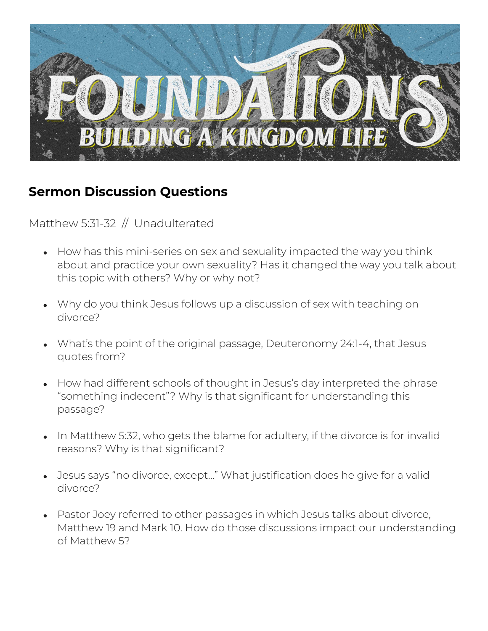

## **Sermon Discussion Questions**

Matthew 5:31-32 // Unadulterated

- How has this mini-series on sex and sexuality impacted the way you think about and practice your own sexuality? Has it changed the way you talk about this topic with others? Why or why not?
- Why do you think Jesus follows up a discussion of sex with teaching on divorce?
- What's the point of the original passage, Deuteronomy 24:1-4, that Jesus quotes from?
- How had different schools of thought in Jesus's day interpreted the phrase "something indecent"? Why is that significant for understanding this passage?
- In Matthew 5:32, who gets the blame for adultery, if the divorce is for invalid reasons? Why is that significant?
- Jesus says "no divorce, except..." What justification does he give for a valid divorce?
- Pastor Joey referred to other passages in which Jesus talks about divorce, Matthew 19 and Mark 10. How do those discussions impact our understanding of Matthew 5?